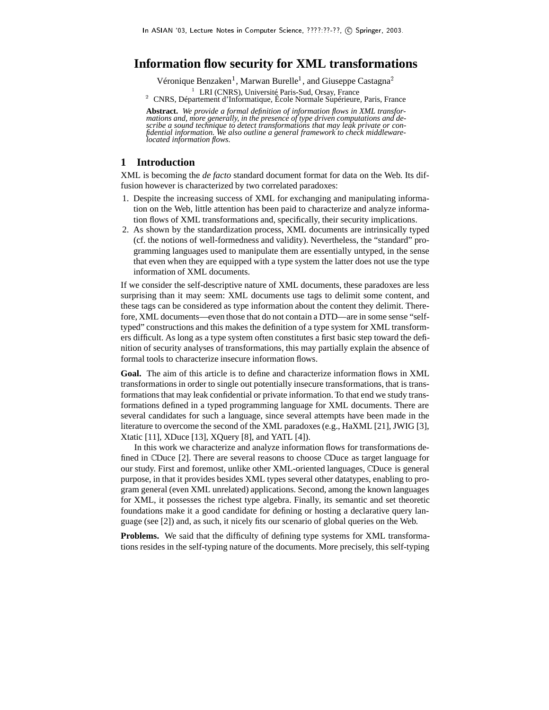# **Information flow security for XML transformations**

Véronique Benzaken<sup>1</sup>, Marwan Burelle<sup>1</sup>, and Giuseppe Castagna<sup>2</sup> <sup>1</sup> LRI (CNRS), Université Paris-Sud, Orsay, France

<sup>2</sup> CNRS, Département d'Informatique, École Normale Supérieure, Paris, France

**Abstract.** We provide a formal definition of information flows in XML transformations and, more generally, in the presence of type driven computations and de-<br>scribe a sound technique to detect transformations that may le *fidential information. We also outline a general framework to check middlewarelocated information flows.*

# **1 Introduction**

XML is becoming the *de facto* standard document format for data on the Web. Its diffusion however is characterized by two correlated paradoxes:

- 1. Despite the increasing success of XML for exchanging and manipulating information on the Web, little attention has been paid to characterize and analyze information flows of XML transformations and, specifically, their security implications.
- 2. As shown by the standardization process, XML documents are intrinsically typed (cf. the notions of well-formedness and validity). Nevertheless, the "standard" programming languages used to manipulate them are essentially untyped, in the sense that even when they are equipped with a type system the latter does not use the type information of XML documents.

If we consider the self-descriptive nature of XML documents, these paradoxes are less surprising than it may seem: XML documents use tags to delimit some content, and these tags can be considered as type information about the content they delimit. Therefore, XML documents—even those that do not contain a DTD—are in some sense "selftyped" constructions and this makes the definition of a type system for XML transformers difficult. As long as a type system often constitutes a first basic step toward the definition of security analyses of transformations, this may partially explain the absence of formal tools to characterize insecure information flows.

Goal. The aim of this article is to define and characterize information flows in XML transformations in order to single out potentially insecure transformations, that is transformations that may leak confidential or private information. To that end we study transformations defined in a typed programming language for XML documents. There are several candidates for such a language, since several attempts have been made in the literature to overcome the second of the XML paradoxes (e.g., HaXML [21], JWIG [3], Xtatic [11], XDuce [13], XQuery [8], and YATL [4]).

In this work we characterize and analyze information flows for transformations defined in CDuce [2]. There are several reasons to choose CDuce as target language for our study. First and foremost, unlike other XML-oriented languages, CDuce is general purpose, in that it provides besides XML types several other datatypes, enabling to program general (even XML unrelated) applications. Second, among the known languages for XML, it possesses the richest type algebra. Finally, its semantic and set theoretic foundations make it a good candidate for defining or hosting a declarative query language (see [2]) and, as such, it nicely fits our scenario of global queries on the Web.

**Problems.** We said that the difficulty of defining type systems for XML transformations resides in the self-typing nature of the documents. More precisely, this self-typing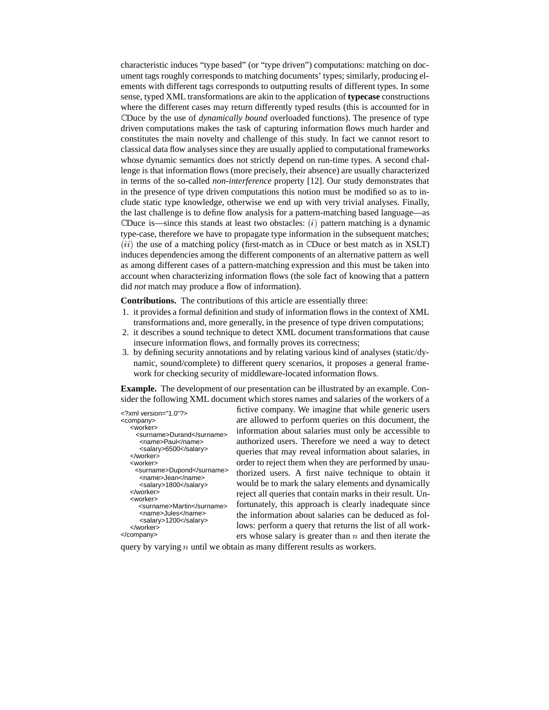characteristic induces "type based" (or "type driven") computations: matching on document tags roughly corresponds to matching documents' types; similarly, producing elements with different tags corresponds to outputting results of different types. In some sense, typed XML transformations are akin to the application of **typecase** constructions where the different cases may return differently typed results (this is accounted for in Duce by the use of *dynamically bound* overloaded functions). The presence of type driven computations makes the task of capturing information flows much harder and constitutes the main novelty and challenge of this study. In fact we cannot resort to classical data flow analyses since they are usually applied to computational frameworks whose dynamic semantics does not strictly depend on run-time types. A second challenge is that information flows (more precisely, their absence) are usually characterized in terms of the so-called *non-interference* property [12]. Our study demonstrates that in the presence of type driven computations this notion must be modified so as to include static type knowledge, otherwise we end up with very trivial analyses. Finally, the last challenge is to define flow analysis for a pattern-matching based language—as CDuce is—since this stands at least two obstacles:  $(i)$  pattern matching is a dynamic type-case, therefore we have to propagate type information in the subsequent matches;  $(ii)$  the use of a matching policy (first-match as in  $CDuce$  or best match as in XSLT) induces dependencies among the different components of an alternative pattern as well as among different cases of a pattern-matching expression and this must be taken into account when characterizing information flows (the sole fact of knowing that a pattern did *not* match may produce a flow of information).

**Contributions.** The contributions of this article are essentially three:

- 1. it provides a formal definition and study of information flows in the context of XML transformations and, more generally, in the presence of type driven computations;
- 2. it describes a sound technique to detect XML document transformations that cause insecure information flows, and formally proves its correctness;
- 3. by defining security annotations and by relating various kind of analyses (static/dynamic, sound/complete) to different query scenarios, it proposes a general framework for checking security of middleware-located information flows.

**Example.** The development of our presentation can be illustrated by an example. Consider the following XML document which stores names and salaries of the workers of a

| xml version="1.0"?        |
|---------------------------|
| <company></company>       |
| <worker></worker>         |
| <surname>Durand</surname> |
| <name>Paul</name>         |
| <salary>6500</salary>     |
|                           |
| <worker></worker>         |
| <surname>Dupond</surname> |
| <name>Jean</name>         |
| <salary>1800</salary>     |
|                           |
| <worker></worker>         |
| <surname>Martin</surname> |
| <name>Jules</name>        |
| <salary>1200</salary>     |
|                           |
|                           |

fictive company. We imagine that while generic users are allowed to perform queries on this document, the information about salaries must only be accessible to authorized users. Therefore we need a way to detect queries that may reveal information about salaries, in order to reject them when they are performed by unauthorized users. A first naive technique to obtain it would be to mark the salary elements and dynamically reject all queries that contain marks in their result. Unfortunately, this approach is clearly inadequate since the information about salaries can be deduced as follows: perform a query that returns the list of all workers whose salary is greater than  $n$  and then iterate the

query by varying  $n$  until we obtain as many different results as workers.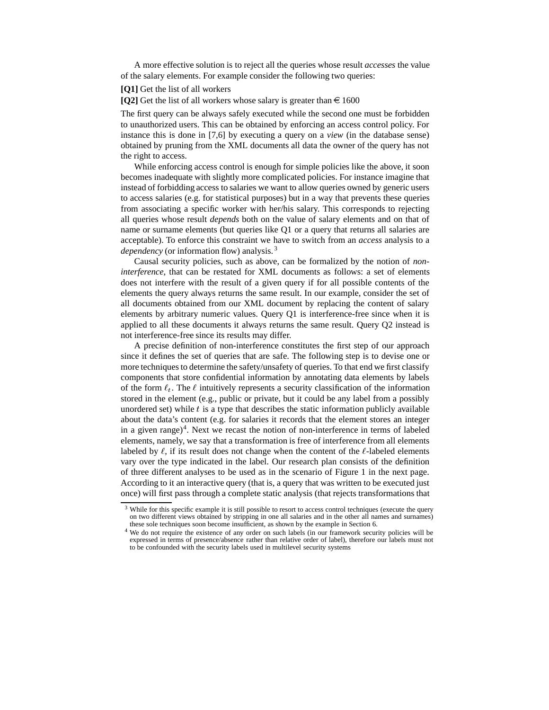A more effective solution is to reject all the queries whose result *accesses* the value of the salary elements. For example consider the following two queries:

**[Q1]** Get the list of all workers

**[Q2]** Get the list of all workers whose salary is greater than  $\in$  1600

The first query can be always safely executed while the second one must be forbidden to unauthorized users. This can be obtained by enforcing an access control policy. For instance this is done in [7,6] by executing a query on a *view* (in the database sense) obtained by pruning from the XML documents all data the owner of the query has not the right to access.

While enforcing access control is enough for simple policies like the above, it soon becomes inadequate with slightly more complicated policies. For instance imagine that instead of forbidding access to salaries we want to allow queries owned by generic users to access salaries (e.g. for statistical purposes) but in a way that prevents these queries from associating a specific worker with her/his salary. This corresponds to rejecting all queries whose result *depends* both on the value of salary elements and on that of name or surname elements (but queries like Q1 or a query that returns all salaries are acceptable). To enforce this constraint we have to switch from an *access* analysis to a *dependency* (or information flow) analysis. <sup>3</sup>

Causal security policies, such as above, can be formalized by the notion of *noninterference*, that can be restated for XML documents as follows: a set of elements does not interfere with the result of a given query if for all possible contents of the elements the query always returns the same result. In our example, consider the set of all documents obtained from our XML document by replacing the content of salary elements by arbitrary numeric values. Query Q1 is interference-free since when it is applied to all these documents it always returns the same result. Query Q2 instead is not interference-free since its results may differ.

A precise definition of non-interference constitutes the first step of our approach since it defines the set of queries that are safe. The following step is to devise one or more techniques to determine the safety/unsafety of queries. To that end we first classify components that store confidential information by annotating data elements by labels of the form  $\ell_t$ . The  $\ell$  intuitively represents a security classification of the information stored in the element (e.g., public or private, but it could be any label from a possibly unordered set) while  $t$  is a type that describes the static information publicly available about the data's content (e.g. for salaries it records that the element stores an integer in a given range)<sup>4</sup>. Next we recast the notion of non-interference in terms of labeled elements, namely, we say that a transformation is free of interference from all elements labeled by  $\ell$ , if its result does not change when the content of the  $\ell$ -labeled elements vary over the type indicated in the label. Our research plan consists of the definition of three different analyses to be used as in the scenario of Figure 1 in the next page. According to it an interactive query (that is, a query that was written to be executed just once) will first pass through a complete static analysis (that rejects transformations that

<sup>&</sup>lt;sup>3</sup> While for this specific example it is still possible to resort to access control techniques (execute the query on two different views obtained by stripping in one all salaries and in the other all names and surnames) these sole techniques soon become insufficient, as shown by the example in Section 6.

<sup>&</sup>lt;sup>4</sup> We do not require the existence of any order on such labels (in our framework security policies will be expressed in terms of presence/absence rather than relative order of label), therefore our labels must not to be confounded with the security labels used in multilevel security systems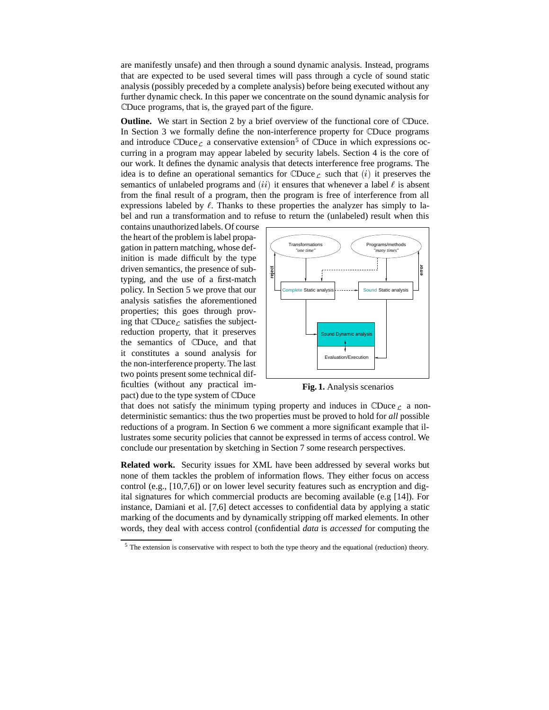are manifestly unsafe) and then through a sound dynamic analysis. Instead, programs that are expected to be used several times will pass through a cycle of sound static analysis (possibly preceded by a complete analysis) before being executed without any further dynamic check. In this paper we concentrate on the sound dynamic analysis for Duce programs, that is, the grayed part of the figure.

**Outline.** We start in Section 2 by a brief overview of the functional core of CDuce. In Section 3 we formally define the non-interference property for CDuce programs and introduce  $CDuce_{\mathcal{L}}$  a conservative extension<sup>5</sup> of  $CDuce$  in which expressions occurring in a program may appear labeled by security labels. Section 4 is the core of our work. It defines the dynamic analysis that detects interference free programs. The idea is to define an operational semantics for CDuce  $\mathcal{L}$  such that  $(i)$  it preserves the semantics of unlabeled programs and  $(ii)$  it ensures that whenever a label  $\ell$  is absent from the final result of a program, then the program is free of interference from all expressions labeled by  $\ell$ . Thanks to these properties the analyzer has simply to label and run a transformation and to refuse to return the (unlabeled) result when this

contains unauthorized labels. Of course the heart of the problem is label propagation in pattern matching, whose definition is made difficult by the type driven semantics, the presence of subtyping, and the use of a first-match policy. In Section 5 we prove that our analysis satisfies the aforementioned properties; this goes through proving that  $CDuce<sub>c</sub>$  satisfies the subjectreduction property, that it preserves the semantics of CDuce, and that it constitutes a sound analysis for the non-interference property. The last two points present some technical difficulties (without any practical impact) due to the type system of CDuce



**Fig. 1.** Analysis scenarios

that does not satisfy the minimum typing property and induces in  $\mathbb{C}$ Duce  $\mathcal{L}$  a nondeterministic semantics: thus the two properties must be proved to hold for *all* possible reductions of a program. In Section 6 we comment a more significant example that illustrates some security policies that cannot be expressed in terms of access control. We conclude our presentation by sketching in Section 7 some research perspectives.

**Related work.** Security issues for XML have been addressed by several works but none of them tackles the problem of information flows. They either focus on access control (e.g., [10,7,6]) or on lower level security features such as encryption and digital signatures for which commercial products are becoming available (e.g [14]). For instance, Damiani et al. [7,6] detect accesses to confidential data by applying a static marking of the documents and by dynamically stripping off marked elements. In other words, they deal with access control (confidential *data* is *accessed* for computing the

<sup>&</sup>lt;sup>5</sup> The extension is conservative with respect to both the type theory and the equational (reduction) theory.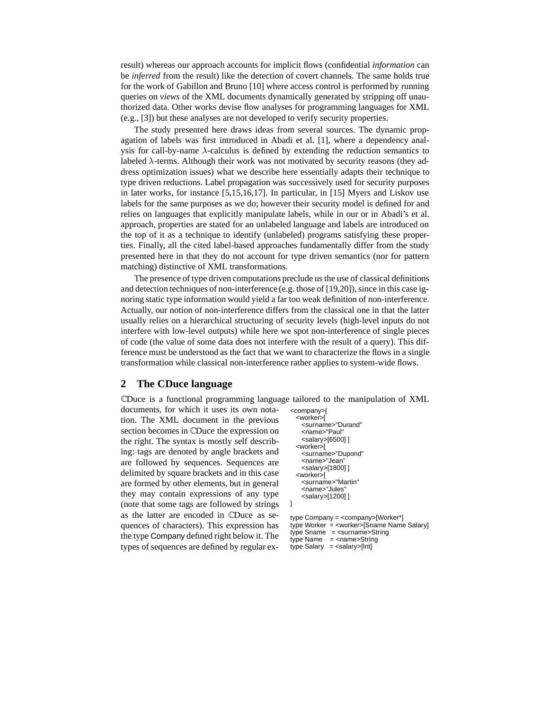result) whereas our approach accounts for implicit flows (confidential *information* can be *inferred* from the result) like the detection of covert channels. The same holds true for the work of Gabillon and Bruno [10] where access control is performed by running queries on *views* of the XML documents dynamically generated by stripping off unauthorized data. Other works devise flow analyses for programming languages for XML (e.g., [3]) but these analyses are not developed to verify security properties.

The study presented here draws ideas from several sources. The dynamic propagation of labels was first introduced in Abadi et al. [1], where a dependency analysis for call-by-name  $\lambda$ -calculus is defined by extending the reduction semantics to labeled  $\lambda$ -terms. Although their work was not motivated by security reasons (they address optimization issues) what we describe here essentially adapts their technique to type driven reductions. Label propagation was successively used for security purposes in later works, for instance [5,15,16,17]. In particular, in [15] Myers and Liskov use labels for the same purposes as we do; however their security model is defined for and relies on languages that explicitly manipulate labels, while in our or in Abadi's et al. approach, properties are stated for an unlabeled language and labels are introduced on the top of it as a technique to identify (unlabeled) programs satisfying these properties. Finally, all the cited label-based approaches fundamentally differ from the study presented here in that they do not account for type driven semantics (nor for pattern matching) distinctive of XML transformations.

The presence of type driven computations preclude us the use of classical definitions and detection techniques of non-interference (e.g. those of [19,20]), since in this case ignoring static type information would yield a far too weak definition of non-interference. Actually, our notion of non-interference differs from the classical one in that the latter usually relies on a hierarchical structuring of security levels (high-level inputs do not interfere with low-level outputs) while here we spot non-interference of single pieces of code (the value of some data does not interfere with the result of a query). This difference must be understood as the fact that we want to characterize the flows in a single transformation while classical non-interference rather applies to system-wide flows.

### **2 The CDuce language**

Duce is a functional programming language tailored to the manipulation of XML

documents, for which it uses its own notation. The XML document in the previous section becomes in CDuce the expression on the right. The syntax is mostly self describing: tags are denoted by angle brackets and are followed by sequences. Sequences are delimited by square brackets and in this case are formed by other elements, but in general they may contain expressions of any type (note that some tags are followed by strings as the latter are encoded in CDuce as sequences of characters). This expression has the type Company defined right below it. The types of sequences are defined by regular ex-

```
<company>[
  <worker>[
   <surname>"Durand"
   <name>"Paul"
   <salary>[6500] ]
  <worker>[
   <surname>"Dupond"
   <name>"Jean"
   <salary>[1800] ]
  <worker>[
   <surname>"Martin"
   <name>"Jules"
   <salary>[1200] ]
]
type Company = <company>[Worker*]
type Worker = <worker>[Sname Name Salary]
type Sname = <surname>String
type Name = <name>String
type Salary = <salary>[Int]
```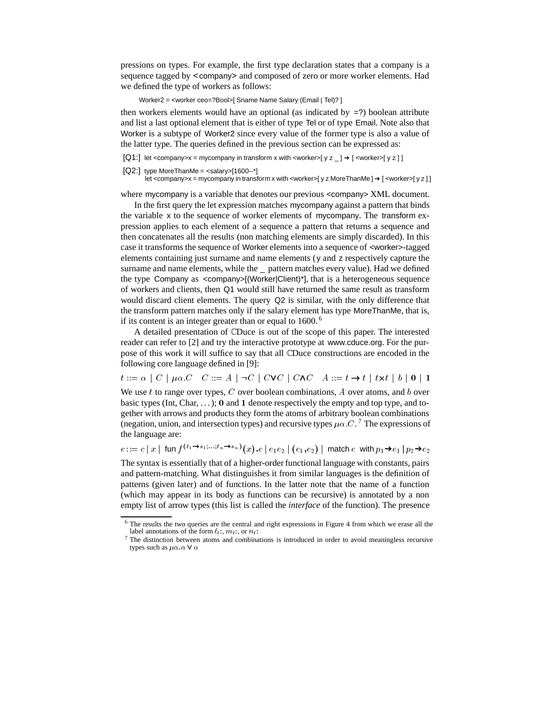pressions on types. For example, the first type declaration states that a company is a sequence tagged by <company> and composed of zero or more worker elements. Had we defined the type of workers as follows:

Worker2 = <worker ceo=?Bool>[ Sname Name Salary (Email | Tel)? ]

then workers elements would have an optional (as indicated by  $=$ ?) boolean attribute and list a last optional element that is either of type Tel or of type Email. Note also that Worker is a subtype of Worker2 since every value of the former type is also a value of the latter type. The queries defined in the previous section can be expressed as:

[Q1:] let <company>x = mycompany in transform x with <worker>[ $y z$ ]  $\rightarrow$  [ <worker>[ $y z$ ]]

[Q2:] type MoreThanMe = <salary>[1600--\*]

let <company>x = mycompany in transform x with <worker>[ y z MoreThanMe] → [ <worker>[ y z ] ]

where mycompany is a variable that denotes our previous <company> XML document.

In the first query the let expression matches mycompany against a pattern that binds the variable x to the sequence of worker elements of mycompany. The transform expression applies to each element of a sequence a pattern that returns a sequence and then concatenates all the results (non matching elements are simply discarded). In this case it transforms the sequence of Worker elements into a sequence of <worker>-tagged elements containing just surname and name elements (y and z respectively capture the surname and name elements, while the \_ pattern matches every value). Had we defined the type Company as  $\leq$ company>[(Worker|Client)<sup>\*</sup>], that is a heterogeneous sequence of workers and clients, then Q1 would still have returned the same result as transform would discard client elements. The query Q2 is similar, with the only difference that the transform pattern matches only if the salary element has type MoreThanMe, that is, if its content is an integer greater than or equal to 1600. <sup>6</sup>

A detailed presentation of Duce is out of the scope of this paper. The interested reader can refer to [2] and try the interactive prototype at www.cduce.org. For the purpose of this work it will suffice to say that all Duce constructions are encoded in the following core language defined in [9]:

 - -

We use  $t$  to range over types,  $C$  over boolean combinations,  $A$  over atoms, and  $b$  over basic types (Int, Char,  $\dots$ ); 0 and 1 denote respectively the empty and top type, and together with arrows and products they form the atoms of arbitrary boolean combinations (negation, union, and intersection types) and recursive types  $\mu\alpha$ .  $C$ . <sup>7</sup> The expressions of the language are:

 $e:=c\mid x\mid$  fun  $f^{(t_1\to s_1;...;t_n\to s_n)}(x).e\mid e_1e_2\mid (e_1,e_2)\mid$  match  $e$  with  $p_1\bullet e_1\mid p_2\bullet e_2$ 

The syntax is essentially that of a higher-order functional language with constants, pairs and pattern-matching. What distinguishes it from similar languages is the definition of patterns (given later) and of functions. In the latter note that the name of a function (which may appear in its body as functions can be recursive) is annotated by a non empty list of arrow types (this list is called the *interface* of the function). The presence

<sup>6</sup> The results the two queries are the central and right expressions in Figure 4 from which we erase all the label annotations of the form  $l_t$ ;,  $m_t$ ;, or  $n_t$ .

<sup>7</sup> The distinction between atoms and combinations is introduced in order to avoid meaningless recursive types such as  $\mu \alpha$ .  $\alpha \vee \alpha$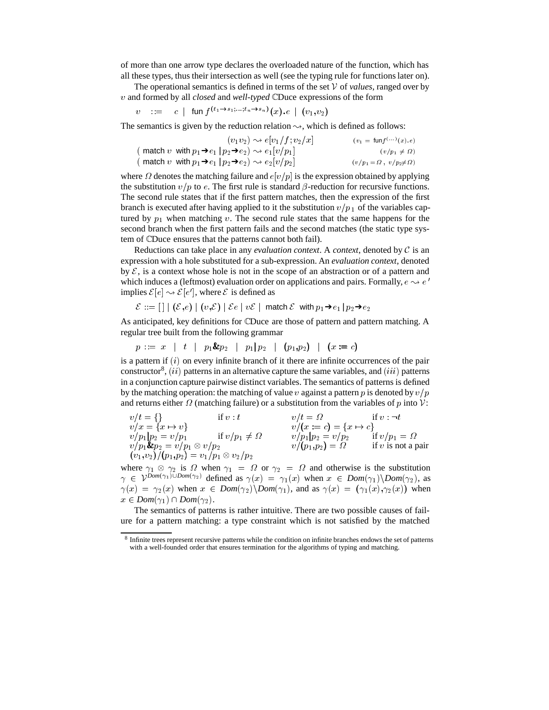of more than one arrow type declares the overloaded nature of the function, which has all these types, thus their intersection as well (see the typing rule for functions later on).

The operational semantics is defined in terms of the set  $V$  of *values*, ranged over by *v* and formed by all *closed* and *well-typed* CDuce expressions of the form

$$
v \quad ::= \quad c \mid \text{ fun } f^{(t_1 \rightarrow s_1; \ldots; t_n \rightarrow s_n)}(x).e \mid (v_1, v_2)
$$

The semantics is given by the reduction relation  $\rightsquigarrow$ , which is defined as follows:

| $(v_1v_2) \rightsquigarrow e[v_1/f; v_2/x]$                                      | $(v_1 = \text{funf}^{(\ldots)}(x).e)$ |
|----------------------------------------------------------------------------------|---------------------------------------|
| (match v with $p_1+e_1 p_2+e_2\rangle \rightsquigarrow e_1[v/p_1]$               | $(v/p_1 \neq \Omega)$                 |
| (match v with $p_1+e_1\vert p_2+e_2\rangle \rightsquigarrow e_2\vert v/p_2\vert$ | $(v/p_1 = \Omega, v/p_2 \neq \Omega)$ |

where  $\Omega$  denotes the matching failure and  $e[v/p]$  is the expression obtained by applying the substitution  $v/p$  to e. The first rule is standard  $\beta$ -reduction for recursive functions. The second rule states that if the first pattern matches, then the expression of the first branch is executed after having applied to it the substitution  $v/p_1$  of the variables captured by  $p_1$  when matching v. The second rule states that the same happens for the second branch when the first pattern fails and the second matches (the static type system of CDuce ensures that the patterns cannot both fail).

Reductions can take place in any *evaluation context*. A *context*, denoted by  $C$  is an expression with a hole substituted for a sub-expression. An *evaluation context*, denoted by  $\mathcal{E}$ , is a context whose hole is not in the scope of an abstraction or of a pattern and which induces a (leftmost) evaluation order on applications and pairs. Formally,  $e \rightarrow e'$ implies  $\mathcal{E}[e] \rightsquigarrow \mathcal{E}[e'],$  where  $\mathcal E$  is defined as

 $\mathcal{E} ::= [ ] \mid (\mathcal{E},\!e) \mid (v,\!\mathcal{E}) \mid \mathcal{E} \, e \mid v\mathcal{E} \mid \, \textsf{match} \; \mathcal{E} \, \textsf{ with } p_1 \textcolor{black}{\blacktriangleright} e_1 \, | \, p_2 \textcolor{black}{\blacktriangleright} e_2$ 

As anticipated, key definitions for CDuce are those of pattern and pattern matching. A regular tree built from the following grammar

 $P \cdot P = P \cdot P \cdot P = P \cdot P \cdot P = P \cdot P \cdot P \cdot P = P \cdot P \cdot P$ 

is a pattern if  $(i)$  on every infinite branch of it there are infinite occurrences of the pair constructor<sup>8</sup>,  $(ii)$  patterns in an alternative capture the same variables, and  $(iii)$  patterns in a conjunction capture pairwise distinct variables. The semantics of patterns is defined by the matching operation: the matching of value v against a pattern p is denoted by  $v/p$ and returns either  $\Omega$  (matching failure) or a substitution from the variables of  $p$  into  $\mathcal{V}$ :

| $v/t = \{\}$                                    | if $v : t$             | $v/t = \Omega$                 | if $v : \neg t$     |
|-------------------------------------------------|------------------------|--------------------------------|---------------------|
| $v/x = \{x \mapsto v\}$                         |                        | $v/(x := c) = \{x \mapsto c\}$ |                     |
| $v/p_1 p_2=v/p_1$                               | if $v/p_1 \neq \Omega$ | $v/p_1 p_2=v/p_2$              | if $v/p_1 = \Omega$ |
| $v/p_1\&p_2=v/p_1\otimes v/p_2$                 |                        | $v/(p_1,p_2) = \Omega$         | if v is not a pair  |
| $(v_1,v_2)/(p_1,p_2) = v_1/p_1 \otimes v_2/p_2$ |                        |                                |                     |

where  $\gamma_1 \otimes \gamma_2$  is  $\Omega$  when  $\gamma_1 = \Omega$  or  $\gamma_2 = \Omega$  and otherwise is the substitution  $\gamma \in V^{Dom(\gamma_1)\cup Dom(\gamma_2)}$  defined as  $\gamma(x) = \gamma_1(x)$  when  $x \in Dom(\gamma_1)\setminus Dom(\gamma_2)$ , as  $\gamma(x) = \gamma_2(x)$  when  $x \in Dom(\gamma_2) \setminus Dom(\gamma_1)$ , and as  $\gamma(x) = (\gamma_1(x), \gamma_2(x))$  when  $x \in Dom(\gamma_1) \cap Dom(\gamma_2)$ .

The semantics of patterns is rather intuitive. There are two possible causes of failure for a pattern matching: a type constraint which is not satisfied by the matched

<sup>8</sup> Infinite trees represent recursive patterns while the condition on infinite branches endows the set of patterns with a well-founded order that ensures termination for the algorithms of typing and matching.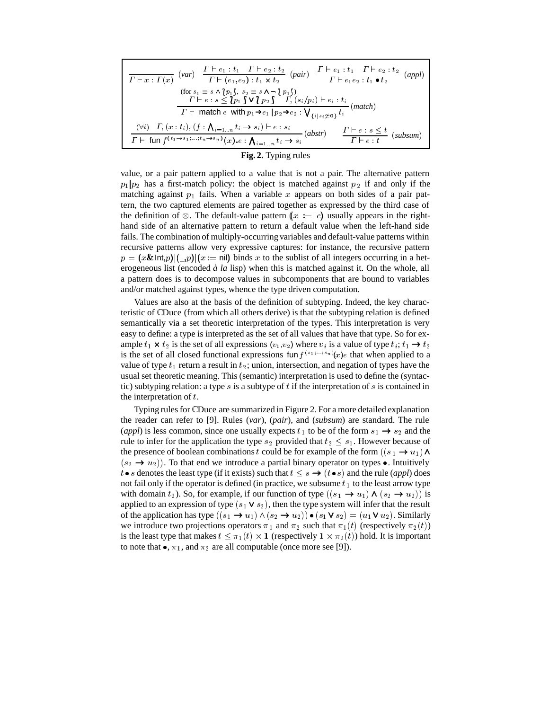$$
\frac{\Gamma \vdash x : \Gamma(x) \quad (\text{var}) \quad \frac{\Gamma \vdash e_1 : t_1 \quad \Gamma \vdash e_2 : t_2}{\Gamma \vdash (e_1, e_2) : t_1 \times t_2} \quad (\text{pair}) \quad \frac{\Gamma \vdash e_1 : t_1 \quad \Gamma \vdash e_2 : t_2}{\Gamma \vdash e_1 e_2 : t_1 \bullet t_2} \quad (\text{app1})}{(\text{for } s_1 \equiv s \land \text{p}_1 \text{, } s_2 \equiv s \land \neg \text{ p}_1 \text{,})}
$$
\n
$$
\frac{\Gamma \vdash e : s \leq \text{p}_1 \text{ s} \lor \text{p}_2 \text{ s} \quad \Gamma, (s_i/p_i) \vdash e_i : t_i}{\Gamma \vdash \text{ match } e \text{ with } p_1 \blacktriangleright e_1 \mid p_2 \blacktriangleright e_2 : \text{V}_{\{i|s_i \not\approx 0\}} t_i} \quad (\text{match})}{(\text{width})}
$$
\n
$$
\frac{(\forall i) \quad \Gamma, (x : t_i), (f : \Lambda_{i=1..n} t_i \rightarrow s_i) \vdash e : s_i}{\Gamma \vdash \text{fun } f^{(t_1 \rightarrow s_1; \dots; t_n \rightarrow s_n)}(x).e : \Lambda_{i=1..n} t_i \rightarrow s_i} (\text{abstr}) \quad \frac{\Gamma \vdash e : s \leq t}{\Gamma \vdash e : t} \quad (\text{subsum})
$$

**Fig. 2.** Typing rules

value, or a pair pattern applied to a value that is not a pair. The alternative pattern  $p_1|p_2$  has a first-match policy: the object is matched against  $p_2$  if and only if the matching against  $p_1$  fails. When a variable x appears on both sides of a pair pattern, the two captured elements are paired together as expressed by the third case of the definition of  $\otimes$ . The default-value pattern  $(x := c)$  usually appears in the righthand side of an alternative pattern to return a default value when the left-hand side fails. The combination of multiply-occurring variables and default-value patterns within recursive patterns allow very expressive captures: for instance, the recursive pattern  $p = (x \& \text{Int}, p) | (x := \text{nil})$  binds x to the sublist of all integers occurring in a heterogeneous list (encoded *à la* lisp) when this is matched against it. On the whole, all a pattern does is to decompose values in subcomponents that are bound to variables and/or matched against types, whence the type driven computation.

Values are also at the basis of the definition of subtyping. Indeed, the key characteristic of Duce (from which all others derive) is that the subtyping relation is defined semantically via a set theoretic interpretation of the types. This interpretation is very easy to define: a type is interpreted as the set of all values that have that type. So for example  $t_1 \times t_2$  is the set of all expressions  $(v_1, v_2)$  where  $v_i$  is a value of type  $t_i$ ;  $t_1 \rightarrow t_2$ is the set of all closed functional expressions fun  $f^{(s_1,\ldots,s_n)}(x)e$  that when applied to a value of type  $t_1$  return a result in  $t_2$ ; union, intersection, and negation of types have the usual set theoretic meaning. This (semantic) interpretation is used to define the (syntactic) subtyping relation: a type  $s$  is a subtype of  $t$  if the interpretation of  $s$  is contained in the interpretation of  $t$ .

Typing rules for CDuce are summarized in Figure 2. For a more detailed explanation the reader can refer to [9]. Rules (*var*), (*pair*), and (*subsum*) are standard. The rule (*appl*) is less common, since one usually expects  $t_1$  to be of the form  $s_1 \rightarrow s_2$  and the rule to infer for the application the type  $s_2$  provided that  $t_2 \leq s_1$ . However because of the presence of boolean combinations t could be for example of the form  $((s_1 \rightarrow u_1) \land$  $(s_2 \rightarrow u_2)$ ). To that end we introduce a partial binary operator on types •. Intuitively  $t \bullet s$  denotes the least type (if it exists) such that  $t \leq s \rightarrow (t \bullet s)$  and the rule (*appl*) does not fail only if the operator is defined (in practice, we subsume  $t_1$  to the least arrow type with domain  $t_2$ ). So, for example, if our function of type  $((s_1 \rightarrow u_1) \land (s_2 \rightarrow u_2))$  is applied to an expression of type  $(s_1 \vee s_2)$ , then the type system will infer that the result of the application has type  $((s_1 \rightarrow u_1) \land (s_2 \rightarrow u_2)) \bullet (s_1 \lor s_2) = (u_1 \lor u_2)$ . Similarly we introduce two projections operators  $\pi_1$  and  $\pi_2$  such that  $\pi_1(t)$  (respectively  $\pi_2(t)$ ) is the least type that makes  $t \leq \pi_1(t) \times 1$  (respectively  $1 \times \pi_2(t)$ ) hold. It is important to note that  $\bullet$ ,  $\pi_1$ , and  $\pi_2$  are all computable (once more see [9]).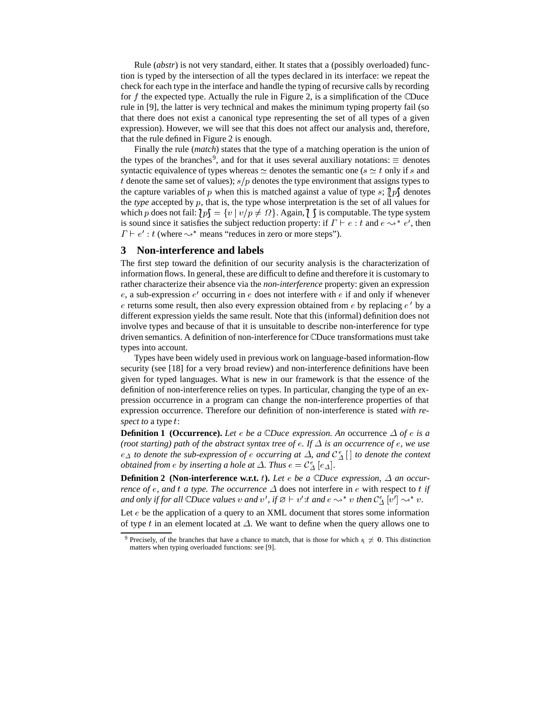Rule (*abstr*) is not very standard, either. It states that a (possibly overloaded) function is typed by the intersection of all the types declared in its interface: we repeat the check for each type in the interface and handle the typing of recursive calls by recording for  $f$  the expected type. Actually the rule in Figure 2, is a simplification of the CDuce rule in [9], the latter is very technical and makes the minimum typing property fail (so that there does not exist a canonical type representing the set of all types of a given expression). However, we will see that this does not affect our analysis and, therefore, that the rule defined in Figure 2 is enough.

Finally the rule (*match*) states that the type of a matching operation is the union of the types of the branches<sup>9</sup>, and for that it uses several auxiliary notations:  $\equiv$  denotes syntactic equivalence of types whereas  $\simeq$  denotes the semantic one ( $s \simeq t$  only if s and t denote the same set of values);  $s/p$  denotes the type environment that assigns types to the capture variables of p when this is matched against a value of type s;  $\llbracket p \rrbracket$  denotes the *type* accepted by  $p$ , that is, the type whose interpretation is the set of all values for which p does not fail:  $p\mathbf{f} = \{v \mid v/p \neq \Omega\}$ . Again,  $\mathbf{f}$  is computable. The type system is sound since it satisfies the subject reduction property: if  $\Gamma \vdash e : t$  and  $e \leadsto^* e'$ , then  $\Gamma \vdash e' : t$  (where  $\leadsto^*$  means "reduces in zero or more steps").

## **3 Non-interference and labels**

The first step toward the definition of our security analysis is the characterization of information flows. In general, these are difficult to define and therefore it is customary to rather characterize their absence via the *non-interference* property: given an expression e, a sub-expression  $e'$  occurring in  $e$  does not interfere with  $e$  if and only if whenever e returns some result, then also every expression obtained from  $e$  by replacing  $e'$  by a different expression yields the same result. Note that this (informal) definition does not involve types and because of that it is unsuitable to describe non-interference for type driven semantics. A definition of non-interference for CDuce transformations must take types into account.

Types have been widely used in previous work on language-based information-flow security (see [18] for a very broad review) and non-interference definitions have been given for typed languages. What is new in our framework is that the essence of the definition of non-interference relies on types. In particular, changing the type of an expression occurrence in a program can change the non-interference properties of that expression occurrence. Therefore our definition of non-interference is stated *with respect to* a type *t*:

**Definition 1 (Occurrence).** Let  $e$  be a CDuce expression. An occurrence  $\Delta$  of  $e$  is a *(root starting) path of the abstract syntax tree of e. If*  $\Delta$  *is an occurrence of e, we use*  $e_{\Delta}$  to denote the sub-expression of  $e$  occurring at  $\Delta$ , and  $\mathcal{C}_{\Delta}^e$   $[$ ] to denote the context *obtained from e by inserting a hole at*  $\Delta$ *. Thus*  $e = C_A^e$   $[e_{\Delta}]$ *.* 

**Definition 2** (Non-interference w.r.t. t). Let  $e$  be a CDuce expression,  $\Delta$  an occur*rence of e, and t a type. The occurrence*  $\Delta$  does not interfere in e with respect to t if and only if for all CDuce values  $v$  and  $v'$ , if  $\varnothing \vdash v'$  t and  $e \leadsto^* v$  then  $\mathcal{C}_\Delta^e[v'] \leadsto^* v$ .

Let  $e$  be the application of a query to an XML document that stores some information of type  $t$  in an element located at  $\Delta$ . We want to define when the query allows one to

<sup>&</sup>lt;sup>9</sup> Precisely, of the branches that have a chance to match, that is those for which  $\frac{1}{2} \neq 0$ . This distinction matters when typing overloaded functions: see [9].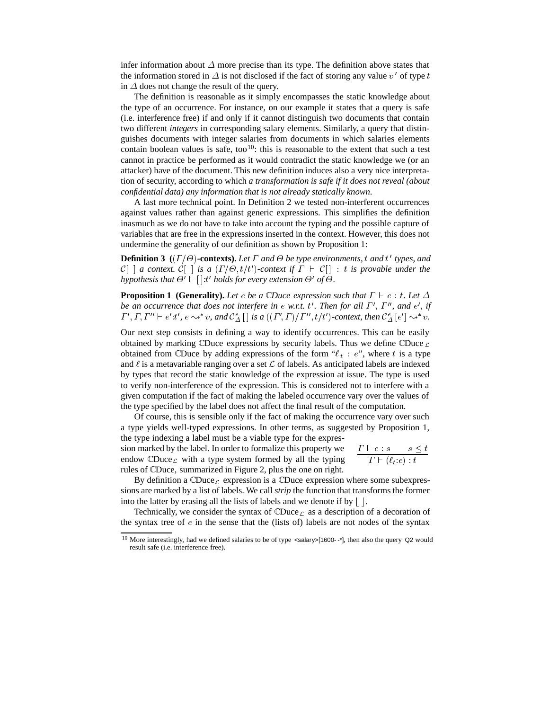infer information about  $\Delta$  more precise than its type. The definition above states that the information stored in  $\Delta$  is not disclosed if the fact of storing any value  $v'$  of type t in  $\Delta$  does not change the result of the query.

The definition is reasonable as it simply encompasses the static knowledge about the type of an occurrence. For instance, on our example it states that a query is safe (i.e. interference free) if and only if it cannot distinguish two documents that contain two different *integers* in corresponding salary elements. Similarly, a query that distinguishes documents with integer salaries from documents in which salaries elements contain boolean values is safe, too<sup>10</sup>: this is reasonable to the extent that such a test cannot in practice be performed as it would contradict the static knowledge we (or an attacker) have of the document. This new definition induces also a very nice interpretation of security, according to which *a transformation is safe if it does not reveal (about confidential data) any information that is not already statically known*.

A last more technical point. In Definition 2 we tested non-interferent occurrences against values rather than against generic expressions. This simplifies the definition inasmuch as we do not have to take into account the typing and the possible capture of variables that are free in the expressions inserted in the context. However, this does not undermine the generality of our definition as shown by Proposition 1:

**Definition 3** (( $\Gamma/\Theta$ )-contexts). Let  $\Gamma$  and  $\Theta$  be type environments, t and t' types, and  $\mathcal{C}[\ ]$  a context.  $\mathcal{C}[\ ]$  is a  $(\Gamma/\Theta,t/t')$ -context if  $\Gamma \ \vdash \ \mathcal{C}[\ ] \ : \ t \ \text{ is provable under the }$ hypothesis that  $\Theta' \vdash [\ ]:t'$  holds for every extension  $\Theta'$  of  $\Theta$ .

**Proposition 1 (Generality).** Let e be a CDuce expression such that  $\Gamma \vdash e : t$ . Let  $\Delta$ be an occurrence that does not interfere in  $e$  w.r.t.  $t'$ . Then for all  $\Gamma'$ ,  $\Gamma''$ , and  $e'$ , if  $\Gamma', \Gamma, \Gamma'' \vdash e' . t', e \leadsto^* v$ , and  $\mathcal{C}_{\Delta}^e$  [] is a  $((\Gamma', \Gamma)/\Gamma'', t/t')$ -context, then  $\mathcal{C}_{\Delta}^e$  [e']  $\leadsto^* v$ .

Our next step consists in defining a way to identify occurrences. This can be easily obtained by marking CDuce expressions by security labels. Thus we define CDuce  $\mathcal{L}$ obtained from CDuce by adding expressions of the form " $\ell_t$  : e", where t is a type and  $\ell$  is a metavariable ranging over a set  $\mathcal L$  of labels. As anticipated labels are indexed by types that record the static knowledge of the expression at issue. The type is used to verify non-interference of the expression. This is considered not to interfere with a given computation if the fact of making the labeled occurrence vary over the values of the type specified by the label does not affect the final result of the computation.

Of course, this is sensible only if the fact of making the occurrence vary over such a type yields well-typed expressions. In other terms, as suggested by Proposition 1, the type indexing a label must be a viable type for the expres-

sion marked by the label. In order to formalize this property we endow  $CDuce_{\mathcal{L}}$  with a type system formed by all the typing rules of CDuce, summarized in Figure 2, plus the one on right.

 $\vee$ ,  $\vee$ ,  $\vee$ ,  $\vee$ 

By definition a  $CDuce<sub>f</sub>$  expression is a  $CDuce$  expression where some subexpressions are marked by a list of labels. We call *strip* the function that transforms the former into the latter by erasing all the lists of labels and we denote if by  $\vert \cdot \vert$ .

Technically, we consider the syntax of  $\mathbb{C}$ Duce  $\mathcal{L}$  as a description of a decoration of the syntax tree of  $e$  in the sense that the (lists of) labels are not nodes of the syntax

<sup>&</sup>lt;sup>10</sup> More interestingly, had we defined salaries to be of type <salary>[1600--\*], then also the query Q2 would result safe (i.e. interference free).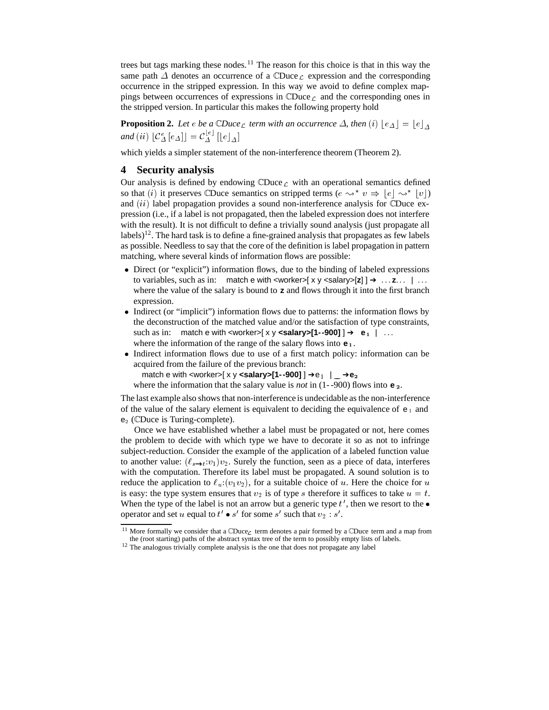trees but tags marking these nodes.<sup>11</sup> The reason for this choice is that in this way the same path  $\Delta$  denotes an occurrence of a CDuce  $\epsilon$  expression and the corresponding occurrence in the stripped expression. In this way we avoid to define complex mappings between occurrences of expressions in  $CDucc_{\mathcal{L}}$  and the corresponding ones in the stripped version. In particular this makes the following property hold

**Proposition 2.** Let  $e$  be a  $CDucc_{\mathcal{L}}$  term with an occurrence  $\Delta$ , then  $(i)$   $\lfloor e_{\Delta} \rfloor = \lfloor e \rfloor_{\Delta}$ and (ii)  $\lfloor \mathcal{C}_{\Delta}^e[e_{\Delta}] \rfloor = \mathcal{C}_{\Delta}^{\lfloor e\rfloor}[\lfloor e \rfloor]_{\Delta}$ 

which yields a simpler statement of the non-interference theorem (Theorem 2).

## **4 Security analysis**

Our analysis is defined by endowing  $CDuce_{\mathcal{L}}$  with an operational semantics defined so that (*i*) it preserves CDuce semantics on stripped terms  $(e \leadsto^* v \Rightarrow [e] \leadsto^* [v])$ and  $(ii)$  label propagation provides a sound non-interference analysis for CDuce expression (i.e., if a label is not propagated, then the labeled expression does not interfere with the result). It is not difficult to define a trivially sound analysis (just propagate all labels)<sup>12</sup>. The hard task is to define a fine-grained analysis that propagates as few labels as possible. Needless to say that the core of the definition is label propagation in pattern matching, where several kinds of information flows are possible:

- Direct (or "explicit") information flows, due to the binding of labeled expressions to variables, such as in: match e with <worker>[ x y <salary>[**z**] ] ➔ ... **z**... | ... where the value of the salary is bound to **z** and flows through it into the first branch expression.
- Indirect (or "implicit") information flows due to patterns: the information flows by the deconstruction of the matched value and/or the satisfaction of type constraints, such as in: match e with <worker>[ $x$  y <salary>[1--900]]  $\rightarrow e_1$  | ... where the information of the range of the salary flows into **e**<sub>1</sub>.
- Indirect information flows due to use of a first match policy: information can be acquired from the failure of the previous branch:

match e with <worker>[ $x$  y <salary>[1--900]]  $\rightarrow e_1$  |  $\rightarrow e_2$ 

where the information that the salary value is *not* in (1--900) flows into **e**<sub>2</sub>.

The last example also shows that non-interference is undecidable as the non-interference of the value of the salary element is equivalent to deciding the equivalence of  $e_1$  and  $e_2$  (CDuce is Turing-complete).

Once we have established whether a label must be propagated or not, here comes the problem to decide with which type we have to decorate it so as not to infringe subject-reduction. Consider the example of the application of a labeled function value to another value:  $(\ell_{s\to t}:v_1)v_2$ . Surely the function, seen as a piece of data, interferes with the computation. Therefore its label must be propagated. A sound solution is to reduce the application to  $\ell_u$ :  $(v_1v_2)$ , for a suitable choice of u. Here the choice for u is easy: the type system ensures that  $v_2$  is of type s therefore it suffices to take  $u = t$ . When the type of the label is not an arrow but a generic type  $t'$ , then we resort to the  $\bullet$ operator and set u equal to  $t' \bullet s'$  for some s' such that  $v_2 : s'.$ 

<sup>&</sup>lt;sup>11</sup> More formally we consider that a  $CDuce_{\mathcal{L}}$  term denotes a pair formed by a  $CDuce$  term and a map from the (root starting) paths of the abstract syntax tree of the term to possibly empty lists of labels.

<sup>&</sup>lt;sup>12</sup> The analogous trivially complete analysis is the one that does not propagate any label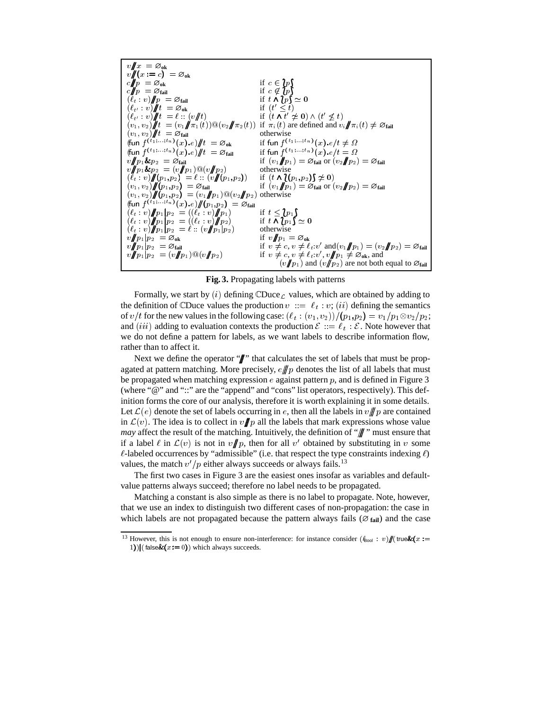$$
\begin{array}{ll}\n\text{if } \mathbf{z} = \mathbf{z}_{0k} \\
\text{if } \mathbf{z} = \mathbf{z}_{0k} \\
\text{if } \mathbf{z} \in \mathbf{z}_{0k} \\
\text{if } \mathbf{z} \in \mathbf{z}_{0k} \\
\text{if } \mathbf{z} \in \mathbf{z}_{0k} \\
\text{if } \mathbf{z} \in \mathbf{z}_{0k} \\
\text{if } \mathbf{z} \in \mathbf{z}_{0k} \\
\text{if } \mathbf{z} \in \mathbf{z}_{0k} \\
\text{if } \mathbf{z} \in \mathbf{z}_{0k} \\
\text{if } \mathbf{z} \in \mathbf{z}_{0k} \\
\text{if } \mathbf{z} \in \mathbf{z}_{0k} \\
\text{if } \mathbf{z} \in \mathbf{z}_{0k} \\
\text{if } \mathbf{z} \in \mathbf{z}_{0k} \\
\text{if } \mathbf{z} \in \mathbf{z}_{0k} \\
\text{if } \mathbf{z} \in \mathbf{z}_{0k} \\
\text{if } \mathbf{z} \in \mathbf{z}_{0k} \\
\text{if } \mathbf{z} \in \mathbf{z}_{0k} \\
\text{if } \mathbf{z} \in \mathbf{z}_{0k} \\
\text{if } \mathbf{z} \in \mathbf{z}_{0k} \\
\text{if } \mathbf{z} \in \mathbf{z}_{0k} \\
\text{if } \mathbf{z} \in \mathbf{z}_{0k} \\
\text{if } \mathbf{z} \in \mathbf{z}_{0k} \\
\text{if } \mathbf{z} \in \mathbf{z}_{0k} \\
\text{if } \mathbf{z} \in \mathbf{z}_{0k} \\
\text{if } \mathbf{z} \in \mathbf{z}_{0k} \\
\text{if } \mathbf{z} \in \mathbf{z}_{0k} \\
\text{if } \mathbf{z} \in \mathbf{z}_{0k} \\
\text{if } \mathbf{z} \in \mathbf{z}_{0k} \\
\text{if } \mathbf{z} \in \mathbf{z}_{0k} \\
\text{if } \mathbf{z} \in \mathbf{z}_{0k} \\
\text{if } \mathbf{z} \in \mathbf{z}_{0k} \\
\text{if } \mathbf{z} \in \mathbf{z}_{0k} \\
\text{if } \mathbf{z} \in \mathbf{z
$$



Formally, we start by  $(i)$  defining  $CDucc_{\mathcal{L}}$  values, which are obtained by adding to the definition of CDuce values the production  $v := \ell_t : v$ ; (*ii*) defining the semantics of  $v/t$  for the new values in the following case:  $(\ell_t : (v_1, v_2)) / (p_1, p_2) = v_1 / p_1 \otimes v_2 / p_2$ ; and  $(iii)$  adding to evaluation contexts the production  $\mathcal{E} ::= \ell_t : \mathcal{E}$ . Note however that we do not define a pattern for labels, as we want labels to describe information flow, rather than to affect it.

Next we define the operator " $\mathbf{f}$ " that calculates the set of labels that must be propagated at pattern matching. More precisely,  $e \llbracket p$  denotes the list of all labels that must be propagated when matching expression  $e$  against pattern  $p$ , and is defined in Figure 3 (where "@" and "::" are the "append" and "cons" list operators, respectively). This definition forms the core of our analysis, therefore it is worth explaining it in some details. Let  $\mathcal{L}(e)$  denote the set of labels occurring in e, then all the labels in  $v \# p$  are contained in  $\mathcal{L}(v)$ . The idea is to collect in  $v$   $/p$  all the labels that mark expressions whose value *may* affect the result of the matching. Intuitively, the definition of " $\parallel \parallel$ " must ensure that if a label  $\ell$  in  $\mathcal{L}(v)$  is not in  $v/p$ , then for all  $v'$  obtained by substituting in v some  $\ell$ -labeled occurrences by "admissible" (i.e. that respect the type constraints indexing  $\ell$ ) values, the match  $v'/p$  either always succeeds or always fails.<sup>13</sup>

The first two cases in Figure 3 are the easiest ones insofar as variables and defaultvalue patterns always succeed; therefore no label needs to be propagated.

Matching a constant is also simple as there is no label to propagate. Note, however, that we use an index to distinguish two different cases of non-propagation: the case in which labels are not propagated because the pattern always fails  $(\emptyset_{\text{fail}})$  and the case

<sup>&</sup>lt;sup>13</sup> However, this is not enough to ensure non-interference: for instance consider  $(\ell_{\text{cool}} : v)$  //(true  $\&(x :=$ 1)) (false  $\&(x:=0)$ ) which always succeeds.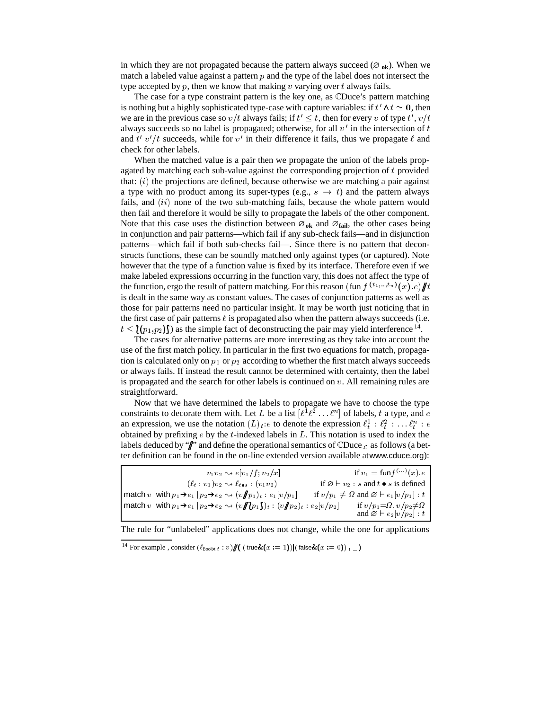in which they are not propagated because the pattern always succeed ( $\varnothing_{ok}$ ). When we match a labeled value against a pattern  $p$  and the type of the label does not intersect the type accepted by  $p$ , then we know that making  $v$  varying over  $t$  always fails.

The case for a type constraint pattern is the key one, as CDuce's pattern matching is nothing but a highly sophisticated type-case with capture variables: if  $t' \wedge t \simeq 0$ , then we are in the previous case so  $v/t$  always fails; if  $t' \leq t$ , then for every v of type  $t', v/t$ always succeeds so no label is propagated; otherwise, for all  $v'$  in the intersection of  $t$ and  $t'$   $v'/t$  succeeds, while for  $v'$  in their difference it fails, thus we propagate  $\ell$  and check for other labels.

When the matched value is a pair then we propagate the union of the labels propagated by matching each sub-value against the corresponding projection of  $t$  provided that:  $(i)$  the projections are defined, because otherwise we are matching a pair against a type with no product among its super-types (e.g.,  $s \rightarrow t$ ) and the pattern always fails, and  $(ii)$  none of the two sub-matching fails, because the whole pattern would then fail and therefore it would be silly to propagate the labels of the other component. Note that this case uses the distinction between  $\varnothing_{ok}$  and  $\varnothing_{fail}$ , the other cases being in conjunction and pair patterns—which fail if any sub-check fails—and in disjunction patterns—which fail if both sub-checks fail—. Since there is no pattern that deconstructs functions, these can be soundly matched only against types (or captured). Note however that the type of a function value is fixed by its interface. Therefore even if we make labeled expressions occurring in the function vary, this does not affect the type of the function, ergo the result of pattern matching. For this reason (fun  $f^{(t_1,\ldots,t_n)}(x).e/\!\!/t$ is dealt in the same way as constant values. The cases of conjunction patterns as well as those for pair patterns need no particular insight. It may be worth just noticing that in the first case of pair patterns  $\ell$  is propagated also when the pattern always succeeds (i.e.  $t \leq (p_1, p_2)$ ) as the simple fact of deconstructing the pair may yield interference <sup>14</sup>.

The cases for alternative patterns are more interesting as they take into account the use of the first match policy. In particular in the first two equations for match, propagation is calculated only on  $p_1$  or  $p_2$  according to whether the first match always succeeds or always fails. If instead the result cannot be determined with certainty, then the label is propagated and the search for other labels is continued on  $v$ . All remaining rules are straightforward.

Now that we have determined the labels to propagate we have to choose the type constraints to decorate them with. Let L be a list  $[\ell^1 \ell^2 \dots \ell^n]$  of labels, t a type, and e an expression, we use the notation  $(L)_t$ :  $e$  to denote the expression  $\ell_t^1 : \ell_t^2 : \ldots \ell_t^n : e$ obtained by prefixing  $e$  by the  $t$ -indexed labels in  $L$ . This notation is used to index the labels deduced by " $\mathbf{F}'$ " and define the operational semantics of  $\mathbb{C}$ Duce  $\mathbf{c}$  as follows (a better definition can be found in the on-line extended version available atwww.cduce.org):

| $v_1v_2 \rightsquigarrow e[v_1/f; v_2/x]$                                                                                                | if $v_1 = \text{funf}^{(-)}(x).e$                                                    |  |
|------------------------------------------------------------------------------------------------------------------------------------------|--------------------------------------------------------------------------------------|--|
| $(\ell_t : v_1)v_2 \rightsquigarrow \ell_{t\bullet s} : (v_1v_2)$                                                                        | if $\varnothing$ $\vdash$ $v_2$ : s and $t \bullet s$ is defined                     |  |
| match v with $p_1 \rightarrow e_1   p_2 \rightarrow e_2 \rightarrow (v \mathbf{p}_1)_t : e_1 [v/p_1]$                                    | if $v/p_1 \neq \Omega$ and $\varnothing \vdash e_1[v/p_1] : t$                       |  |
| match v with $p_1 \rightarrow e_1   p_2 \rightarrow e_2 \rightarrow (v \mathbf{N} p_1 \mathbf{S})_t : (v \mathbf{N} p_2)_t : e_2[v/p_2]$ | if $v/p_1 = \Omega$ , $v/p_2 \neq \Omega$<br>and $\varnothing \vdash e_2[v/p_2] : t$ |  |
|                                                                                                                                          |                                                                                      |  |

The rule for "unlabeled" applications does not change, while the one for applications

<sup>&</sup>lt;sup>14</sup> For example, consider  $(\ell_{\mathsf{Bool} \times t}:v)$   $\#$  ( (true& $(x:=1))$ ) (false& $(x:=0)$ ), \_)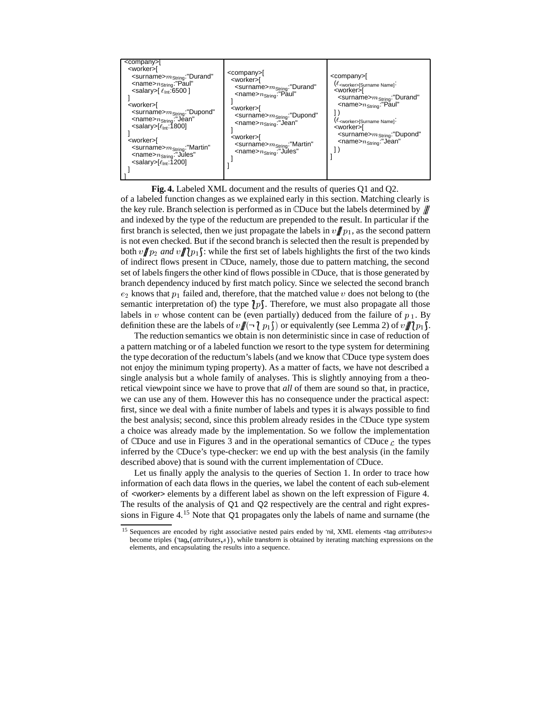| <company><br/><worker><br/><surname><math>m_{\text{String}}</math>:"Durand"<br/><math>\le</math>name<math>&gt;n_{\text{String}}</math>:"Paul"<br/><math>\epsilon</math>salary&gt;[<math>\ell_{\text{int}}</math>:6500]<br/><worker>l<br/><surname><math>m_{\text{String}}</math>:"Dupond"<br/><math>\triangle</math>name<math>&gt;n_{\text{String}}</math>:"Jean"<br/><math>\langle</math>salary&gt;[<math>\ell_{\text{Int}}</math>:1800]<br/><worker>[<br/><math>\le</math>surname&gt;<math>m</math><sub>String</sub>:"Martin"<br/><math>&lt;</math>name<math>&gt;</math><math>n_{\text{String}}</math>:"Jules"<br/><math>\langle</math>salary&gt;[<math>\ell_{\text{Int}}</math>:1200]</worker></surname></worker></surname></worker></company> | <company><br/><worker>l<br/><surname><math>m_{\text{String}}</math>:"Durand"<br/><math>&lt;</math>name<math>&gt;</math><math>n_{\text{String}}</math>:"Paul"<br/><worker>l<br/><math>\le</math>surname<math>\ge m</math><sub>String</sub>: "Dupond"<br/><math>&lt;</math>name<math>&gt;</math><math>n_{\text{String}}</math>:"Jean"<br/><worker>l<br/><math>\le</math>surname<math>\ge m</math><sub>String</sub>: "Martin"<br/><math>\alpha</math> <name><math>n_{\text{String}}</math>:"Jules"</name></worker></worker></surname></worker></company> | <company><br/><math>(\ell_{\textsf{&lt;}workers} \textsf{Surname Name}]</math><br/><worker>l<br/><math>\le</math>surname&gt;<math>m_{\text{String}}</math>: "Durand"<br/><math>&lt;</math>name<math>&gt;</math><math>n_{String}</math>"Păul"<br/>√cworker&gt;[Surname Name] -<br/><worker><br/><math>\le</math>surname<math>\ge m</math><sub>String</sub>: "Dupond"<br/><math>\le</math>name&gt;<math>n_{\text{String}}</math>:"Jean"</worker></worker></company> |
|---------------------------------------------------------------------------------------------------------------------------------------------------------------------------------------------------------------------------------------------------------------------------------------------------------------------------------------------------------------------------------------------------------------------------------------------------------------------------------------------------------------------------------------------------------------------------------------------------------------------------------------------------------------------------------------------------------------------------------------------------|-------------------------------------------------------------------------------------------------------------------------------------------------------------------------------------------------------------------------------------------------------------------------------------------------------------------------------------------------------------------------------------------------------------------------------------------------------------------------------------------------------------------------------------------------------|-------------------------------------------------------------------------------------------------------------------------------------------------------------------------------------------------------------------------------------------------------------------------------------------------------------------------------------------------------------------------------------------------------------------------------------------------------------------|
|---------------------------------------------------------------------------------------------------------------------------------------------------------------------------------------------------------------------------------------------------------------------------------------------------------------------------------------------------------------------------------------------------------------------------------------------------------------------------------------------------------------------------------------------------------------------------------------------------------------------------------------------------------------------------------------------------------------------------------------------------|-------------------------------------------------------------------------------------------------------------------------------------------------------------------------------------------------------------------------------------------------------------------------------------------------------------------------------------------------------------------------------------------------------------------------------------------------------------------------------------------------------------------------------------------------------|-------------------------------------------------------------------------------------------------------------------------------------------------------------------------------------------------------------------------------------------------------------------------------------------------------------------------------------------------------------------------------------------------------------------------------------------------------------------|

**Fig. 4.** Labeled XML document and the results of queries Q1 and Q2.

of a labeled function changes as we explained early in this section. Matching clearly is the key rule. Branch selection is performed as in CDuce but the labels determined by  $\mathcal{W}$ and indexed by the type of the reductum are prepended to the result. In particular if the first branch is selected, then we just propagate the labels in  $v \cdot \text{min} p_1$ , as the second pattern is not even checked. But if the second branch is selected then the result is prepended by both  $v/p_2$  and  $v/p_1$ . while the first set of labels highlights the first of the two kinds of indirect flows present in CDuce, namely, those due to pattern matching, the second set of labels fingers the other kind of flows possible in CDuce, that is those generated by branch dependency induced by first match policy. Since we selected the second branch  $e_2$  knows that  $p_1$  failed and, therefore, that the matched value  $v$  does not belong to (the semantic interpretation of) the type  $[p]$ . Therefore, we must also propagate all those labels in  $v$  whose content can be (even partially) deduced from the failure of  $p_1$ . By definition these are the labels of  $v \cdot \cdot \cdot (a_1 \cdot b_2)$  or equivalently (see Lemma 2) of  $v \cdot \cdot \cdot (a_1 \cdot b_2)$ .

The reduction semantics we obtain is non deterministic since in case of reduction of a pattern matching or of a labeled function we resort to the type system for determining the type decoration of the reductum's labels (and we know that CDuce type system does not enjoy the minimum typing property). As a matter of facts, we have not described a single analysis but a whole family of analyses. This is slightly annoying from a theoretical viewpoint since we have to prove that *all* of them are sound so that, in practice, we can use any of them. However this has no consequence under the practical aspect: first, since we deal with a finite number of labels and types it is always possible to find the best analysis; second, since this problem already resides in the CDuce type system a choice was already made by the implementation. So we follow the implementation of CDuce and use in Figures 3 and in the operational semantics of CDuce  $\mathcal{L}$  the types inferred by the CDuce's type-checker: we end up with the best analysis (in the family described above) that is sound with the current implementation of CDuce.

Let us finally apply the analysis to the queries of Section 1. In order to trace how information of each data flows in the queries, we label the content of each sub-element of <worker> elements by a different label as shown on the left expression of Figure 4. The results of the analysis of Q1 and Q2 respectively are the central and right expressions in Figure 4.<sup>15</sup> Note that Q1 propagates only the labels of name and surname (the

<sup>15</sup> Sequences are encoded by right associative nested pairs ended by 'nil, XML elements <tag *attributes*> become triples ('tag, (attributes, s)), while transform is obtained by iterating matching expressions on the elements, and encapsulating the results into a sequence.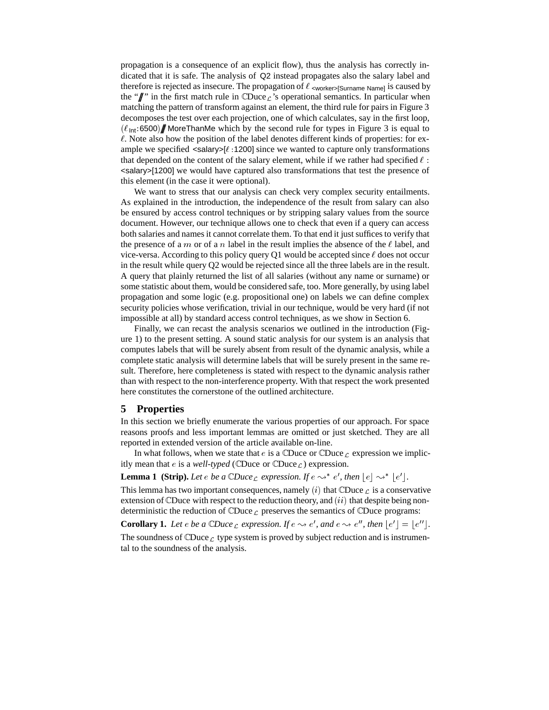propagation is a consequence of an explicit flow), thus the analysis has correctly indicated that it is safe. The analysis of Q2 instead propagates also the salary label and therefore is rejected as insecure. The propagation of  $\ell$  <worker>[Surname Name] is caused by the " $\parallel$ " in the first match rule in  $CDuce_{\mathcal{L}}$ " soperational semantics. In particular when matching the pattern of transform against an element, the third rule for pairs in Figure 3 decomposes the test over each projection, one of which calculates, say in the first loop,  $\ell_{\text{Int}}$ : 6500) *N* MoreThanMe which by the second rule for types in Figure 3 is equal to  $\ell$ . Note also how the position of the label denotes different kinds of properties: for example we specified  $\langle$  -salary>[ $\ell$  :1200] since we wanted to capture only transformations that depended on the content of the salary element, while if we rather had specified  $\ell$ : <salary>[1200] we would have captured also transformations that test the presence of this element (in the case it were optional).

We want to stress that our analysis can check very complex security entailments. As explained in the introduction, the independence of the result from salary can also be ensured by access control techniques or by stripping salary values from the source document. However, our technique allows one to check that even if a query can access both salaries and names it cannot correlate them. To that end it just suffices to verify that the presence of a m or of a n label in the result implies the absence of the  $\ell$  label, and vice-versa. According to this policy query Q1 would be accepted since  $\ell$  does not occur in the result while query Q2 would be rejected since all the three labels are in the result. A query that plainly returned the list of all salaries (without any name or surname) or some statistic about them, would be considered safe, too. More generally, by using label propagation and some logic (e.g. propositional one) on labels we can define complex security policies whose verification, trivial in our technique, would be very hard (if not impossible at all) by standard access control techniques, as we show in Section 6.

Finally, we can recast the analysis scenarios we outlined in the introduction (Figure 1) to the present setting. A sound static analysis for our system is an analysis that computes labels that will be surely absent from result of the dynamic analysis, while a complete static analysis will determine labels that will be surely present in the same result. Therefore, here completeness is stated with respect to the dynamic analysis rather than with respect to the non-interference property. With that respect the work presented here constitutes the cornerstone of the outlined architecture.

#### **5 Properties**

In this section we briefly enumerate the various properties of our approach. For space reasons proofs and less important lemmas are omitted or just sketched. They are all reported in extended version of the article available on-line.

In what follows, when we state that  $e$  is a CDuce or CDuce  $\mathcal{L}$  expression we implicitly mean that  $e$  is a *well-typed* (CDuce or  $CDucc_{\mathcal{L}}$ ) expression.

**Lemma 1** (Strip). Let e be a CDuce<sub>L</sub> expression. If  $e \rightsquigarrow^* e'$ , then  $|e| \rightsquigarrow^* |e'|$ .

This lemma has two important consequences, namely  $(i)$  that  $\mathbb{C}$ Duce  $\mathcal{L}$  is a conservative extension of CDuce with respect to the reduction theory, and  $(ii)$  that despite being nondeterministic the reduction of  $\mathbb{C}Ducc_{\mathcal{L}}$  preserves the semantics of  $\mathbb{C}Ducc$  programs:

**Corollary 1.** Let e be a  $\mathbb{C}Ducc_{\mathcal{L}}$  expression. If  $e \sim e'$ , and  $e \sim e''$ , then  $\lfloor e' \rfloor = \lfloor e'' \rfloor$ .

The soundness of  $CDuce_{\mathcal{L}}$  type system is proved by subject reduction and is instrumental to the soundness of the analysis.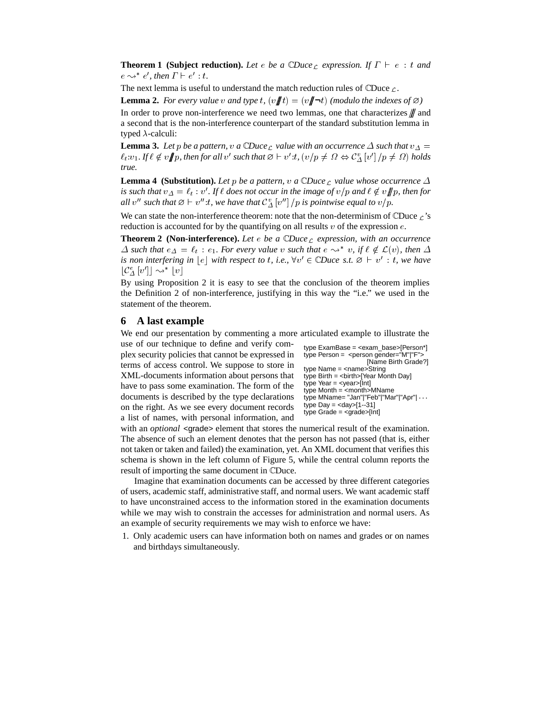**Theorem 1 (Subject reduction).** Let  $e$  be a  $CDuce \textit{c}$  expression. If  $\Gamma \vdash e : t$  and  $e \rightsquigarrow^* e',$  then  $\Gamma \vdash e' : t$ .

The next lemma is useful to understand the match reduction rules of  $\mathbb{C}$ Duce  $\mathcal{L}$ .

**Lemma 2.** For every value v and type t,  $(v \mid x) = (v \mid -1)$  (modulo the indexes of  $\varnothing$ )

In order to prove non-interference we need two lemmas, one that characterizes  $\parallel\!\!\parallel$  and a second that is the non-interference counterpart of the standard substitution lemma in typed  $\lambda$ -calculi:

**Lemma 3.** Let p be a pattern, v a CDuce  $\mathcal{L}$  value with an occurrence  $\Delta$  such that  $v_{\Delta} =$  $\ell_t$ : $v_1$ . If  $\ell \notin v$  **//** p, then for all  $v'$  such that  $\varnothing \vdash v'$ : $t$ ,  $(v/p \neq \Omega \Leftrightarrow \mathcal{C}_\Delta^v[v']/p \neq \Omega)$  holds *true.*

**Lemma 4 (Substitution).** Let p be a pattern, v a  $CDuce<sub>L</sub>$  value whose occurrence  $\Delta$ *is such that*  $v_{\Delta} = \ell_t : v'$ . If  $\ell$  does not occur in the image of  $v/p$  and  $\ell \notin v$   $\llbracket p$ , then for all  $v''$  such that  $\varnothing \vdash v''$  *t*, we have that  $\mathcal{C}_{\Delta}^v[v'']/p$  is pointwise equal to  $v/p$ .

We can state the non-interference theorem: note that the non-determinism of  $\mathbb{C}$ Duce  $\mathcal{L}$ 's reduction is accounted for by the quantifying on all results  $v$  of the expression  $e$ .

**Theorem 2 (Non-interference).** *Let be a Duce expression, with an occurrence*  $\Delta$  such that  $e_{\Delta} = \ell_t : e_1$ . For every value v such that  $e \leadsto^* v$ , if  $\ell \notin \mathcal{L}(v)$ , then  $\Delta$ *is non interfering in*  $[e]$  with respect to t, i.e.,  $\forall v' \in \mathbb{C}$ Duce s.t.  $\emptyset \vdash v' : t$ , we have  $\lfloor \mathcal{C}_{\Lambda}^{e} [v'] \rfloor \rightsquigarrow^* [v]$ 

By using Proposition 2 it is easy to see that the conclusion of the theorem implies the Definition 2 of non-interference, justifying in this way the "i.e." we used in the statement of the theorem.

#### **6 A last example**

We end our presentation by commenting a more articulated example to illustrate the

use of our technique to define and verify complex security policies that cannot be expressed in terms of access control. We suppose to store in XML-documents information about persons that have to pass some examination. The form of the documents is described by the type declarations on the right. As we see every document records a list of names, with personal information, and

type ExamBase = <exam\_base>[Person\*] type Person = <person gender="M"|"F"> [Name Birth Grade?] type Name = <name>String type Birth = <br />birth>[Year Month Day] type Year  $=$  <year>[Int] type Month = <month>MName type MName= "Jan"|"Feb"|"Mar"|"Apr"| type Day =  $<$ day> $[1 - 31]$ type Grade = <grade>[Int]

with an *optional* <qrade> element that stores the numerical result of the examination. The absence of such an element denotes that the person has not passed (that is, either not taken or taken and failed) the examination, yet. An XML document that verifies this schema is shown in the left column of Figure 5, while the central column reports the result of importing the same document in CDuce.

Imagine that examination documents can be accessed by three different categories of users, academic staff, administrative staff, and normal users. We want academic staff to have unconstrained access to the information stored in the examination documents while we may wish to constrain the accesses for administration and normal users. As an example of security requirements we may wish to enforce we have:

1. Only academic users can have information both on names and grades or on names and birthdays simultaneously.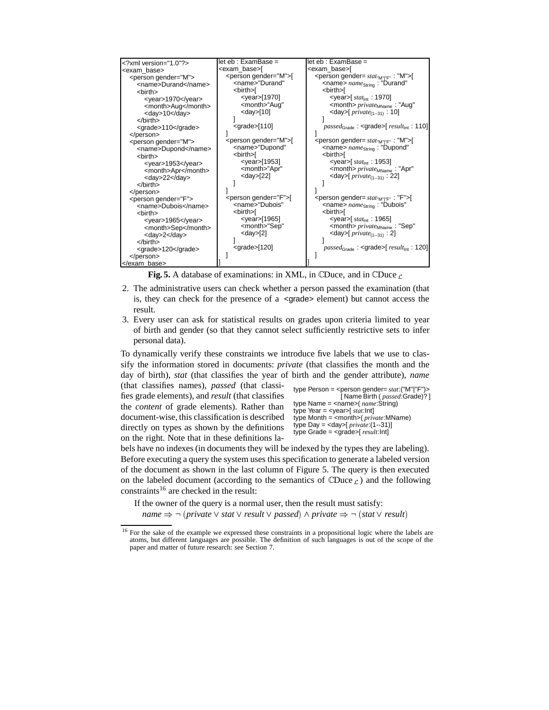| xml version="1.0"?           | let eb : ExamBase =           | $let eb : ExamBase =$                                                                    |
|------------------------------|-------------------------------|------------------------------------------------------------------------------------------|
| <exam_base></exam_base>      | <exam_base>[</exam_base>      | <exam_base>[</exam_base>                                                                 |
| <person gender="M"></person> | <person gender="M">[</person> | $\epsilon$ <person gender="&lt;math">stat_{\text{M}}<sub>"l"F"</sub> : "M"&gt;[</person> |
| <name>Durand</name>          | <name>"Durand"</name>         | $\le$ name> $name_{\text{String}}$ : "Durand"                                            |
| <birth></birth>              | <birth>[</birth>              | <birth>[</birth>                                                                         |
| <year>1970</year>            | $<$ year $>$ [1970]           | $\le$ year>[ stat <sub>lnt</sub> : 1970]                                                 |
| <month>Aug</month>           | <month>"Aug"</month>          | <month> <i>private</i><sub>MName</sub>: "Aug"</month>                                    |
| <day>10</day>                | $<$ day>[10]                  | <day>[<math>\text{private}_{(1-31)}</math>: 10]</day>                                    |
| $<$ /birth $>$               |                               |                                                                                          |
| <grade>110</grade>           | $<$ grade $>[110]$            | $passed_{Grade}$ : <grade>[<math>result_{int}</math>: 110]</grade>                       |
| $<$ /person $>$              |                               |                                                                                          |
| <person gender="M"></person> | <person gender="M">[</person> | $\epsilon$ <person gender="&lt;math">stat_{\text{M}}<sub>"l"F"</sub> : "M"&gt;[</person> |
| <name>Dupond</name>          | <name>"Dupond"</name>         | <name> name<sub>String</sub>: "Dupond"</name>                                            |
| <birth></birth>              | <birth>[</birth>              | <birth>[</birth>                                                                         |
| <year>1953</year>            | <year>[1953]</year>           | $\le$ year $\le$ [ stat <sub>lnt</sub> : 1953]                                           |
| <month>Apr</month>           | <month>"Apr"</month>          | <month> <i>private</i><sub>MName</sub>: "Apr"</month>                                    |
| <day>22</day>                | <day>[22]</day>               | $\langle \text{day} \rangle$ [ private <sub>(1-31)</sub> : 22]                           |
| $<$ /birth $>$               |                               |                                                                                          |
| $<$ /person $>$              |                               |                                                                                          |
| <person gender="F"></person> | <person gender="F">[</person> | <person gender="&lt;math">stat_{\text{m}}<sub>" "F"</sub> : "F"&gt;[</person>            |
| <name>Dubois</name>          | <name>"Dubois"</name>         | <name> name<sub>String</sub>: "Dubois"</name>                                            |
| <birth></birth>              | <birth>[</birth>              | <birth>[</birth>                                                                         |
| <year>1965</year>            | $<$ year>[1965]               | $\le$ year $\le$ [ stat <sub>lnt</sub> : 1965]                                           |
| <month>Sep</month>           | <month>"Sep"</month>          | <month> <i>private</i><sub>MName</sub>: "Sep"</month>                                    |
| <day>2</day>                 | $<$ day>[2]                   | $\langle \text{day}   \text{private}_{(1-31)} : 2 \rangle$                               |
| $<$ /birth $>$               |                               |                                                                                          |
| <grade>120</grade>           | $<$ grade $>[120]$            | $passed_{\text{Grade}}$ : <grade>[<math>result_{\text{Int}}</math>: 120]</grade>         |
|                              |                               |                                                                                          |
|                              |                               |                                                                                          |

**Fig. 5.** A database of examinations: in XML, in CDuce, and in CDuce  $\epsilon$ 

- 2. The administrative users can check whether a person passed the examination (that is, they can check for the presence of a  $\leq$  grade> element) but cannot access the result.
- 3. Every user can ask for statistical results on grades upon criteria limited to year of birth and gender (so that they cannot select sufficiently restrictive sets to infer personal data).

To dynamically verify these constraints we introduce five labels that we use to classify the information stored in documents: *private* (that classifies the month and the day of birth), *stat* (that classifies the year of birth and the gender attribute), *name*

(that classifies names), *passed* (that classifies grade elements), and *result* (that classifies the *content* of grade elements). Rather than document-wise, this classification is described directly on types as shown by the definitions on the right. Note that in these definitions la-

type Person = <person gender= *stat*:("M"|"F")> [ Name Birth ( *passed*:Grade)? ] type Name = <name>( *name*:String) type Year = <year>[ *stat*:Int] type Month = <month>( *private*:MName) type Day = <day>[ *private*:(1--31)] type Grade = <grade>[ *result*:Int]

bels have no indexes (in documents they will be indexed by the types they are labeling). Before executing a query the system uses this specification to generate a labeled version of the document as shown in the last column of Figure 5. The query is then executed on the labeled document (according to the semantics of  $\mathbb{C}$ Duce  $\mathcal{L}$ ) and the following constraints<sup>16</sup> are checked in the result:

If the owner of the query is a normal user, then the result must satisfy:  $name \Rightarrow \neg (private \vee stat \vee result \vee passed) \wedge private \Rightarrow \neg (stat \vee result)$ 

<sup>&</sup>lt;sup>16</sup> For the sake of the example we expressed these constraints in a propositional logic where the labels are atoms, but different languages are possible. The definition of such languages is out of the scope of the paper and matter of future research: see Section 7.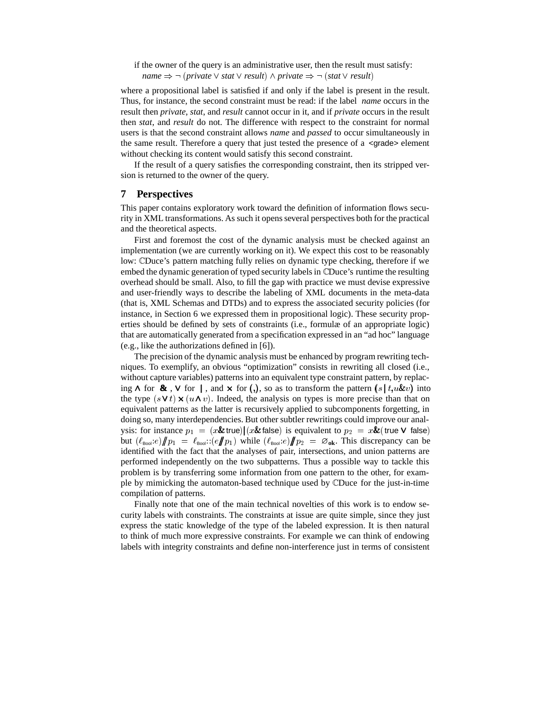if the owner of the query is an administrative user, then the result must satisfy:  $name \Rightarrow \neg (private \vee stat \vee result) \wedge private \Rightarrow \neg (stat \vee result)$ 

where a propositional label is satisfied if and only if the label is present in the result. Thus, for instance, the second constraint must be read: if the label *name* occurs in the result then *private*, *stat*, and *result* cannot occur in it, and if *private* occurs in the result then *stat*, and *result* do not. The difference with respect to the constraint for normal users is that the second constraint allows *name* and *passed* to occur simultaneously in the same result. Therefore a query that just tested the presence of a <grade> element without checking its content would satisfy this second constraint.

If the result of a query satisfies the corresponding constraint, then its stripped version is returned to the owner of the query.

### **7 Perspectives**

This paper contains exploratory work toward the definition of information flows security in XML transformations. As such it opens several perspectives both for the practical and the theoretical aspects.

First and foremost the cost of the dynamic analysis must be checked against an implementation (we are currently working on it). We expect this cost to be reasonably low: CDuce's pattern matching fully relies on dynamic type checking, therefore if we embed the dynamic generation of typed security labels in CDuce's runtime the resulting overhead should be small. Also, to fill the gap with practice we must devise expressive and user-friendly ways to describe the labeling of XML documents in the meta-data (that is, XML Schemas and DTDs) and to express the associated security policies (for instance, in Section 6 we expressed them in propositional logic). These security properties should be defined by sets of constraints (i.e., formulæ of an appropriate logic) that are automatically generated from a specification expressed in an "ad hoc" language (e.g., like the authorizations defined in [6]).

The precision of the dynamic analysis must be enhanced by program rewriting techniques. To exemplify, an obvious "optimization" consists in rewriting all closed (i.e., without capture variables) patterns into an equivalent type constraint pattern, by replacing  $\wedge$  for  $\&$ ,  $\vee$  for |, and  $\times$  for (,), so as to transform the pattern  $(s | t, u \&v)$  into the type  $(s \vee t) \times (u \wedge v)$ . Indeed, the analysis on types is more precise than that on equivalent patterns as the latter is recursively applied to subcomponents forgetting, in doing so, many interdependencies. But other subtler rewritings could improve our analysis: for instance  $p_1 = (x \& \text{true}) | (x \& \text{false})$  is equivalent to  $p_2 = x \& \text{(true V false)}$ but  $(\ell_{\text{Bool}}:e)$   $/p_1 = \ell_{\text{Bool}}: (e/p_1)$  while  $(\ell_{\text{Bool}}:e)$   $/p_2 = \varnothing_{\text{ok}}$ . This discrepancy can be identified with the fact that the analyses of pair, intersections, and union patterns are performed independently on the two subpatterns. Thus a possible way to tackle this problem is by transferring some information from one pattern to the other, for example by mimicking the automaton-based technique used by CDuce for the just-in-time compilation of patterns.

Finally note that one of the main technical novelties of this work is to endow security labels with constraints. The constraints at issue are quite simple, since they just express the static knowledge of the type of the labeled expression. It is then natural to think of much more expressive constraints. For example we can think of endowing labels with integrity constraints and define non-interference just in terms of consistent